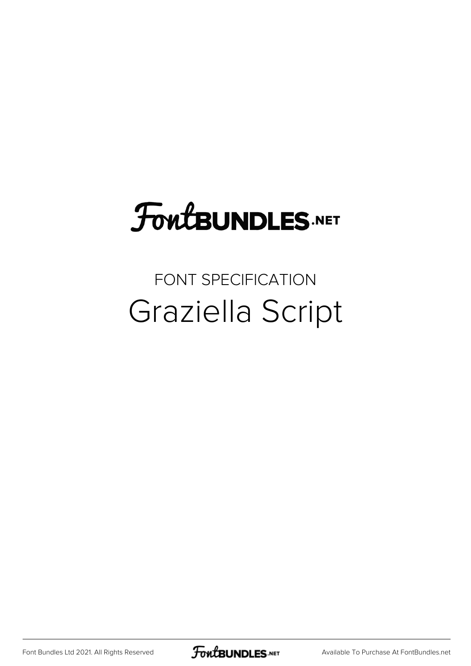## FoutBUNDLES.NET

### FONT SPECIFICATION Graziella Script

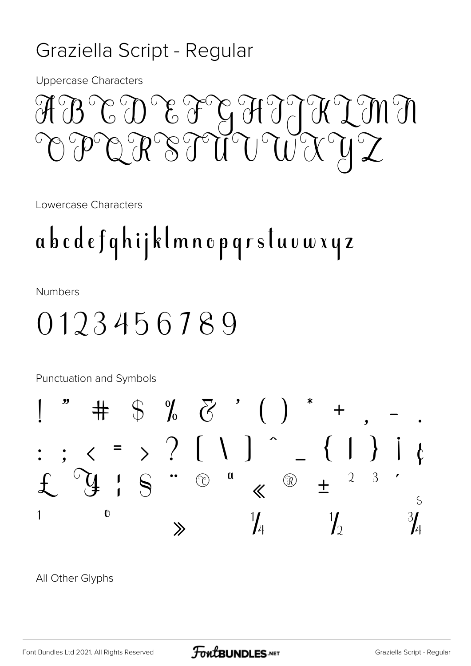#### Graziella Script - Regular

**Uppercase Characters** 

### MULLAUTHE TO SUN  $\check{\mathfrak{g}}(\check{\mathfrak{g}})$ PUIT SAU

Lowercase Characters

## abcdefqhijklmnopqrstuvwxyz

**Numbers** 

### 0123456789



All Other Glyphs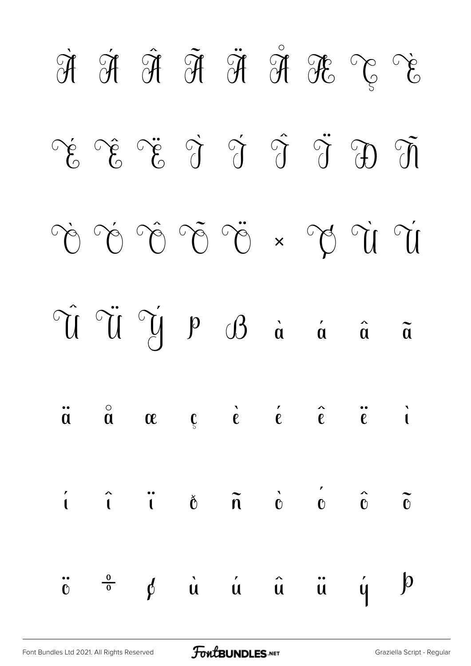|  |  |  | $\begin{array}{ccc} \mathfrak{A} & \mathfrak{A} & \mathfrak{A} & \mathfrak{A} & \mathfrak{A} & \mathfrak{A} & \mathfrak{A} \\ \mathfrak{A} & \mathfrak{A} & \mathfrak{A} & \mathfrak{A} & \mathfrak{A} & \mathfrak{A} \end{array}$                                                                                                                                                                                                                        |  |
|--|--|--|-----------------------------------------------------------------------------------------------------------------------------------------------------------------------------------------------------------------------------------------------------------------------------------------------------------------------------------------------------------------------------------------------------------------------------------------------------------|--|
|  |  |  | $\tilde{E} \quad \tilde{E} \quad \tilde{E} \quad \tilde{E} \quad \tilde{E} \quad \tilde{E} \quad \tilde{E} \quad \tilde{E} \quad \tilde{E} \quad \tilde{E} \quad \tilde{E} \quad \tilde{E} \quad \tilde{E} \quad \tilde{E} \quad \tilde{E} \quad \tilde{E} \quad \tilde{E} \quad \tilde{E} \quad \tilde{E} \quad \tilde{E} \quad \tilde{E} \quad \tilde{E} \quad \tilde{E} \quad \tilde{E} \quad \tilde{E} \quad \tilde{E} \quad \tilde{E} \quad \tilde{$ |  |
|  |  |  | $\dot{U}^{\circ} \dot{U}^{\circ} \ddot{U}^{\circ} \ddot{U}^{\circ} \ddot{U}^{\circ} \ddot{U}^{\circ} \ddot{U}^{\circ} \ddot{U}^{\circ} \ddot{U}^{\circ} \ddot{U}^{\circ} \ddot{U}^{\circ} \ddot{U}^{\circ} \ddot{U}^{\circ} \ddot{U}^{\circ} \ddot{U}^{\circ} \ddot{U}^{\circ} \ddot{U}^{\circ} \ddot{U}^{\circ} \ddot{U}^{\circ} \ddot{U}^{\circ} \ddot{U}^{\circ} \ddot{U}^{\circ} \ddot$                                                               |  |
|  |  |  | $\hat{u}$ $\hat{u}$ $\hat{y}$ $\hat{y}$ $\hat{y}$ $\hat{y}$ $\hat{d}$ $\hat{a}$ $\hat{a}$ $\hat{a}$                                                                                                                                                                                                                                                                                                                                                       |  |
|  |  |  | $\ddot{a}$ $\ddot{a}$ $\alpha$ $\beta$ $\dot{e}$ $\dot{e}$ $\hat{e}$ $\ddot{e}$ $\ddot{e}$ $\ddot{e}$                                                                                                                                                                                                                                                                                                                                                     |  |
|  |  |  | $\begin{array}{ccc} \hat{i} & \hat{i} & \hat{i} & \hat{0} & \hat{n} & \hat{0} & \hat{0} & \hat{0} & \hat{0} \end{array}$                                                                                                                                                                                                                                                                                                                                  |  |
|  |  |  | $\ddot{c}$ $\frac{0}{0}$ $\phi$ $\dot{u}$ $\dot{u}$ $\hat{u}$ $\ddot{u}$ $\dot{y}$ $\dot{p}$                                                                                                                                                                                                                                                                                                                                                              |  |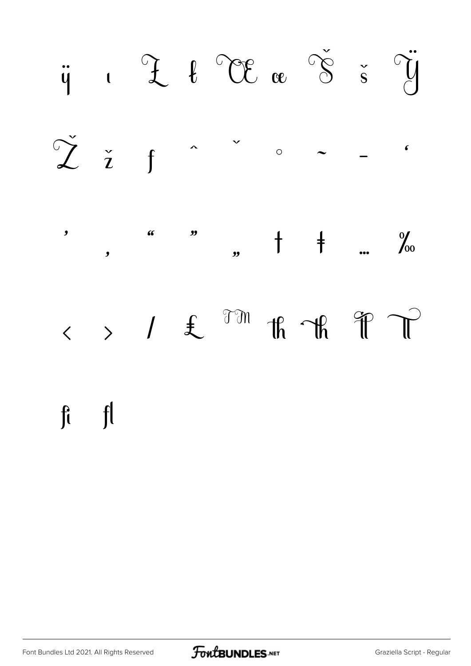

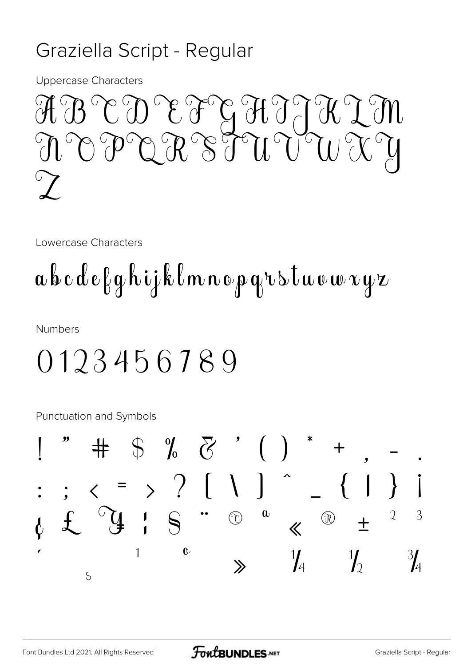#### Graziella Script - Regular

**Uppercase Characters** 

ABCD EFGHJJKIM<br>NOPQRSTUVWXY

Lowercase Characters

## abcdefghijklmnopgrstuvwxyz

**Numbers** 

### 0123456789

Punctuation and Symbols

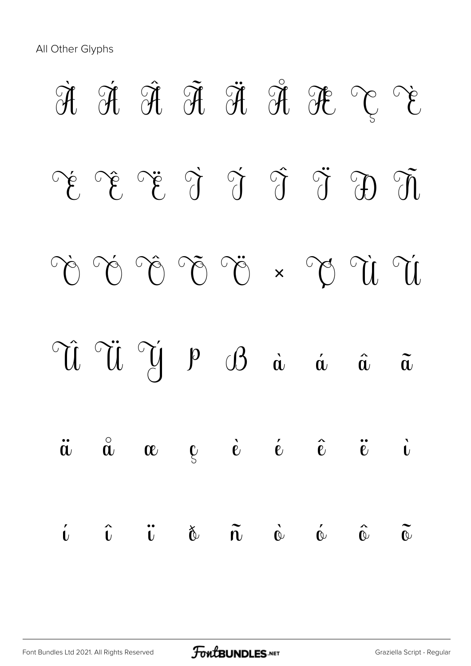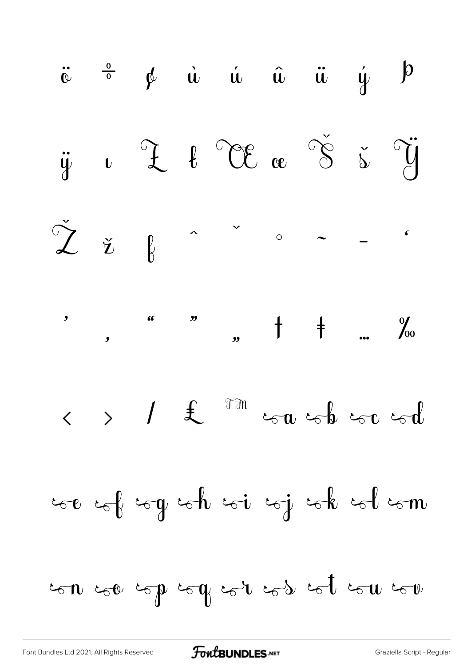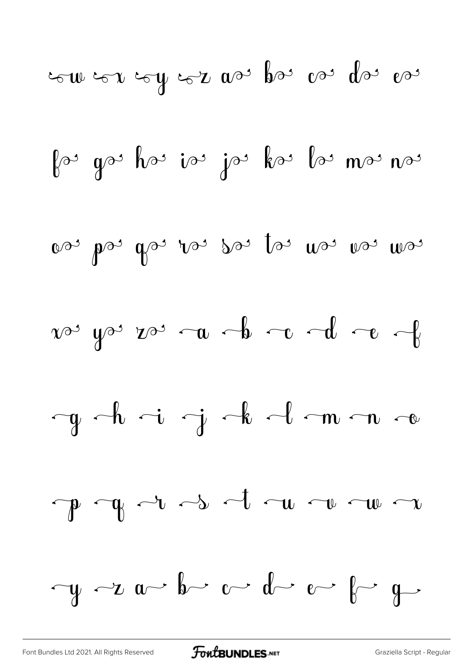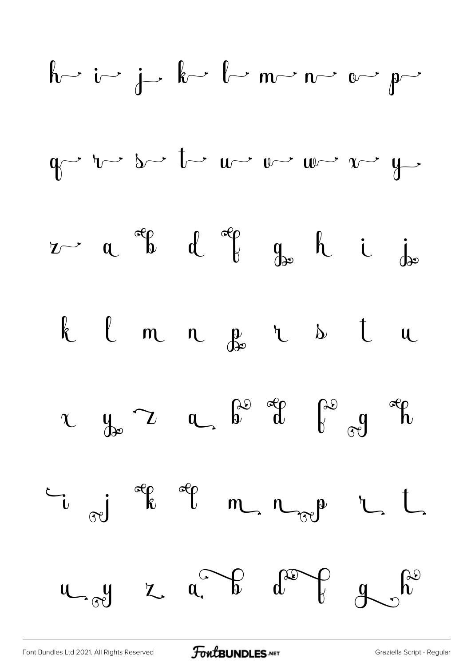

[Font Bundles Ltd 2021. All Rights Reserved](https://fontbundles.net/) **FoutBUNDLES.NET** [Graziella Script - Regular](https://fontbundles.net/)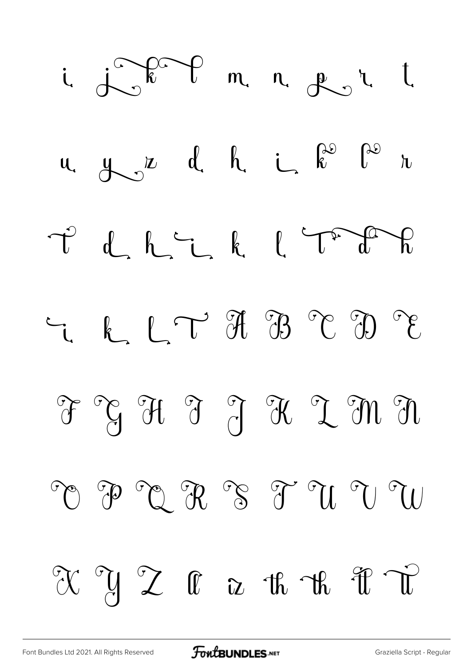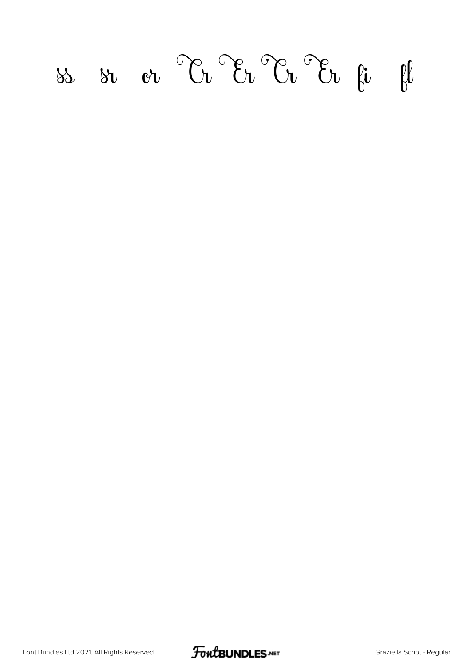## $f(x) = \frac{1}{2}$  or  $\frac{1}{2}$   $\frac{1}{2}$   $\frac{1}{2}$   $\frac{1}{2}$   $\frac{1}{2}$   $\frac{1}{2}$   $\frac{1}{2}$   $\frac{1}{2}$   $\frac{1}{2}$   $\frac{1}{2}$   $\frac{1}{2}$   $\frac{1}{2}$   $\frac{1}{2}$   $\frac{1}{2}$   $\frac{1}{2}$   $\frac{1}{2}$   $\frac{1}{2}$   $\frac{1}{2}$   $\frac{1}{2}$   $\frac{1}{2}$   $\frac{$

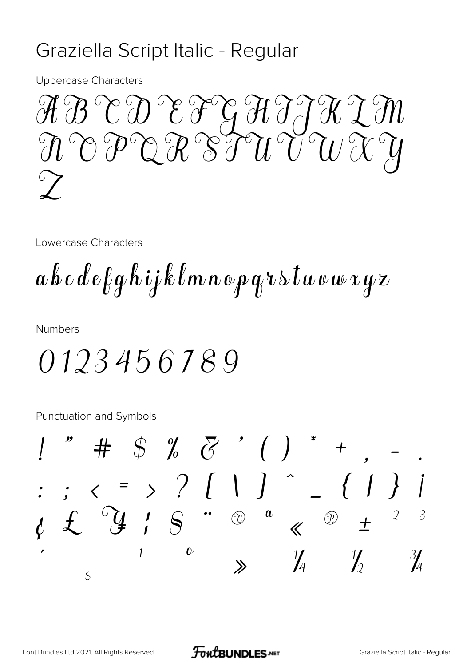#### Graziella Script Italic - Regular

**Uppercase Characters** 



Lowercase Characters

 $a\,b\,c\,d\,e$ fghijklmnopqr $\,$ s $\,t\,\omega\,\omega\,\omega\,\nu\,\nu$ 

**Numbers** 

0123456789

Punctuation and Symbols

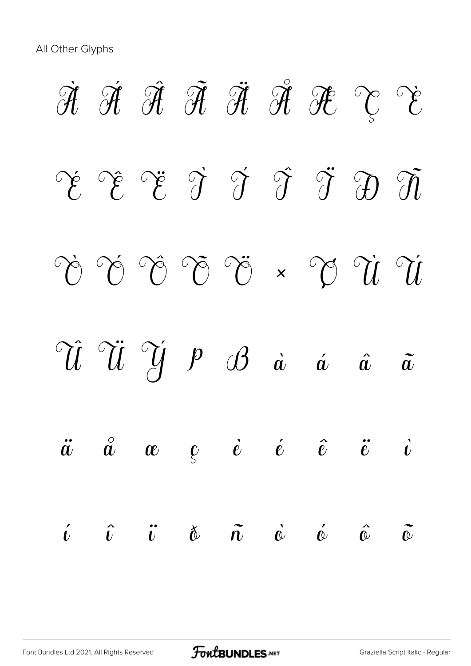All Other Glyphs

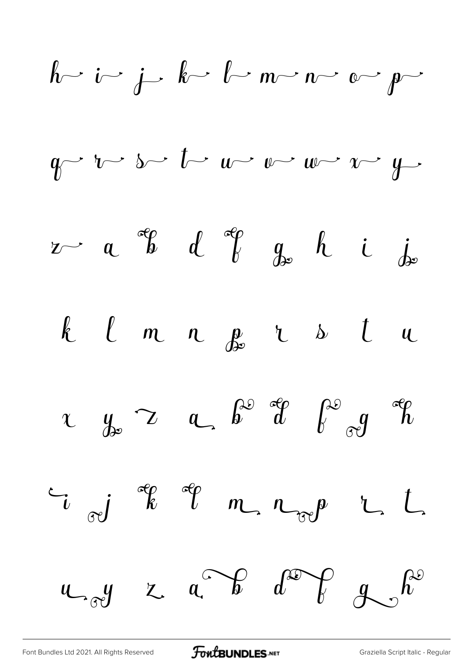| $h$ | $i$ | $j$ | $k$ | $l$ | $m$ | $n$ | $o$ | $p$ |     |     |     |     |     |
|-----|-----|-----|-----|-----|-----|-----|-----|-----|-----|-----|-----|-----|-----|
| $q$ | $i$ | $j$ | $k$ | $l$ | $m$ | $v$ | $w$ | $w$ | $y$ |     |     |     |     |
| $z$ | $a$ | $q$ | $d$ | $q$ | $q$ | $h$ | $i$ | $j$ |     |     |     |     |     |
| $k$ | $l$ | $m$ | $n$ | $q$ | $k$ | $i$ | $i$ |     |     |     |     |     |     |
| $k$ | $l$ | $m$ | $n$ | $q$ | $k$ | $q$ | $k$ |     |     |     |     |     |     |
| $u$ | $y$ | $z$ | $a$ | $k$ | $q$ | $p$ | $q$ | $q$ | $q$ |     |     |     |     |
| $u$ | $q$ | $q$ | $q$ | $q$ | $q$ | $q$ | $q$ | $q$ | $q$ | $q$ | $q$ | $q$ | $q$ |

[Font Bundles Ltd 2021. All Rights Reserved](https://fontbundles.net/) **FoutBUNDLES.NET** [Graziella Script Italic - Regular](https://fontbundles.net/)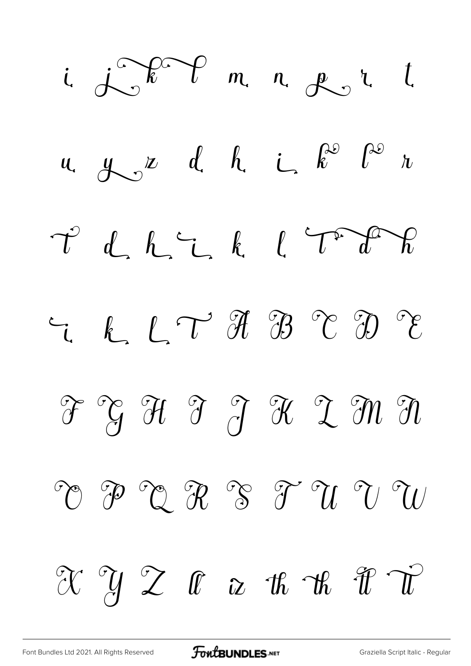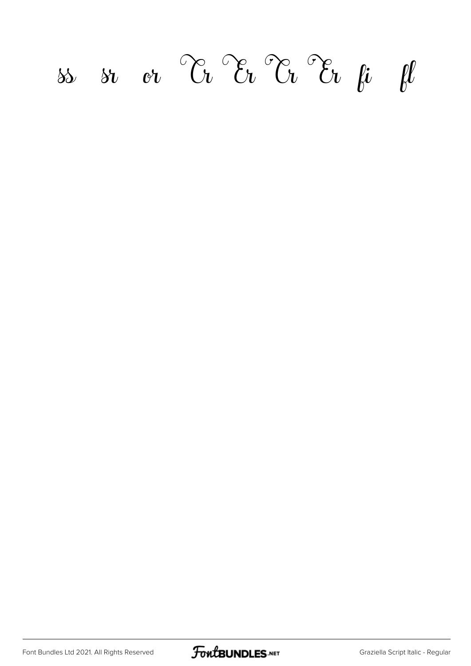# *ff <i>si or*  $\partial_t$   $\partial_t$   $\partial_t$   $\partial_t$   $\partial_t$   $\mu$   $\mu$

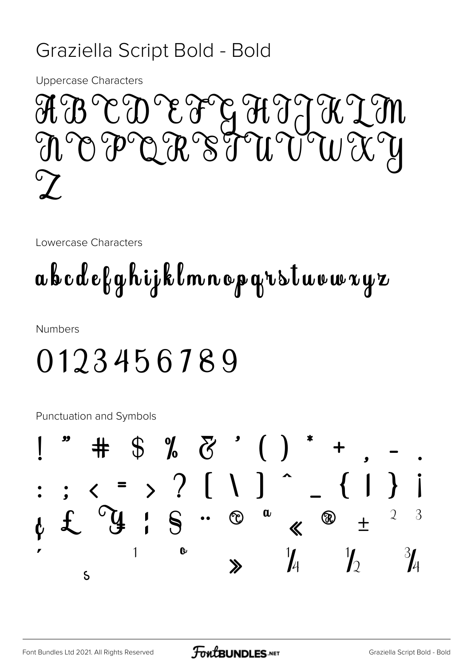#### Graziella Script Bold - Bold

**Uppercase Characters** 

MER BY PHET TO COO CO N O P Q R S T U V W X Y  $\mathcal{C}$ 

Lowercase Characters

## abcdefghijklmnopqrstuvwxyz

**Numbers** 

## 0123456789

Punctuation and Symbols

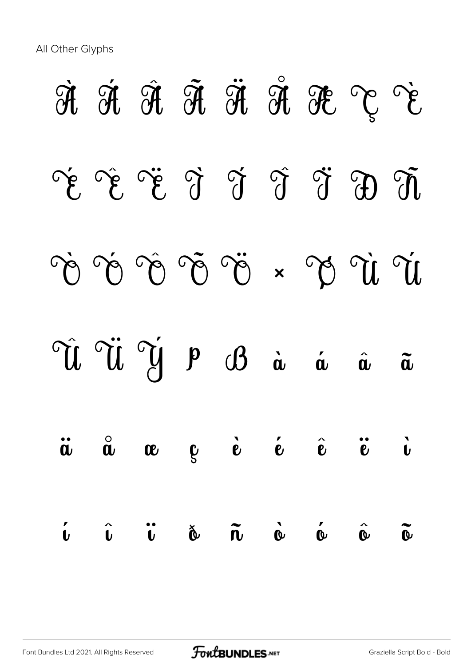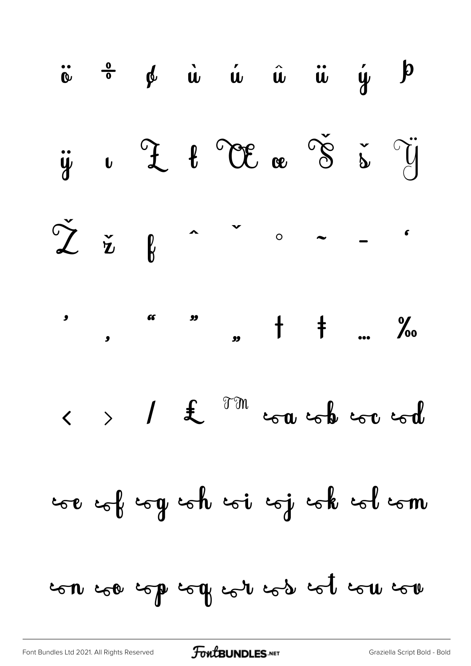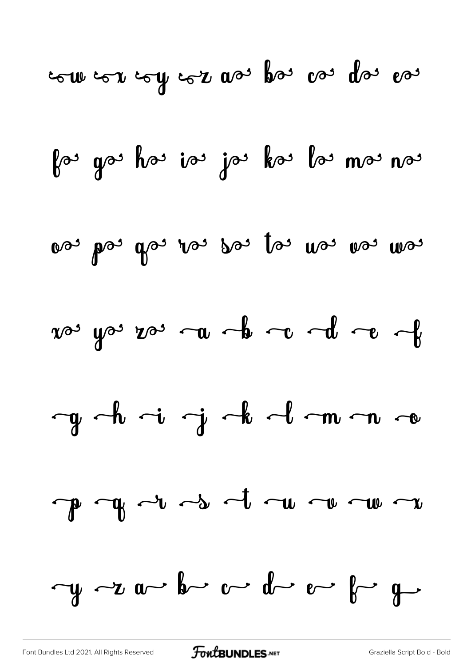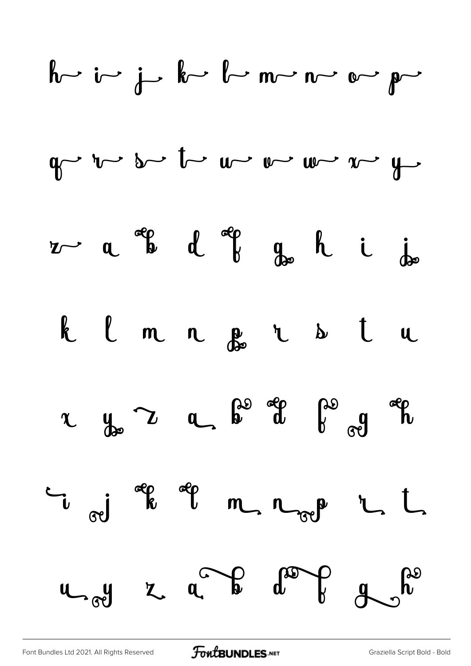| $h$ | $i$ | $j$ | $k$ | $l$ | $m$ | $n$ | $o$ | $p$ |     |     |     |     |     |     |     |     |     |     |     |     |     |     |     |     |
|-----|-----|-----|-----|-----|-----|-----|-----|-----|-----|-----|-----|-----|-----|-----|-----|-----|-----|-----|-----|-----|-----|-----|-----|-----|
| $q$ | $r$ | $s$ | $t$ | $w$ | $w$ | $w$ | $w$ | $y$ |     |     |     |     |     |     |     |     |     |     |     |     |     |     |     |     |
| $z$ | $a$ | $q$ | $d$ | $q$ | $q$ | $h$ | $i$ | $j$ |     |     |     |     |     |     |     |     |     |     |     |     |     |     |     |     |
| $k$ | $l$ | $m$ | $n$ | $q$ | $k$ | $i$ | $j$ |     |     |     |     |     |     |     |     |     |     |     |     |     |     |     |     |     |
| $k$ | $l$ | $m$ | $n$ | $q$ | $k$ | $l$ | $u$ |     |     |     |     |     |     |     |     |     |     |     |     |     |     |     |     |     |
| $u$ | $q$ | $q$ | $q$ | $q$ | $q$ | $q$ | $q$ | $q$ | $q$ | $q$ | $q$ | $q$ | $q$ | $q$ | $q$ | $q$ | $q$ | $q$ | $q$ | $q$ | $q$ | $q$ | $q$ | $q$ |

[Font Bundles Ltd 2021. All Rights Reserved](https://fontbundles.net/) **FoutBUNDLES.NET** [Graziella Script Bold - Bold](https://fontbundles.net/)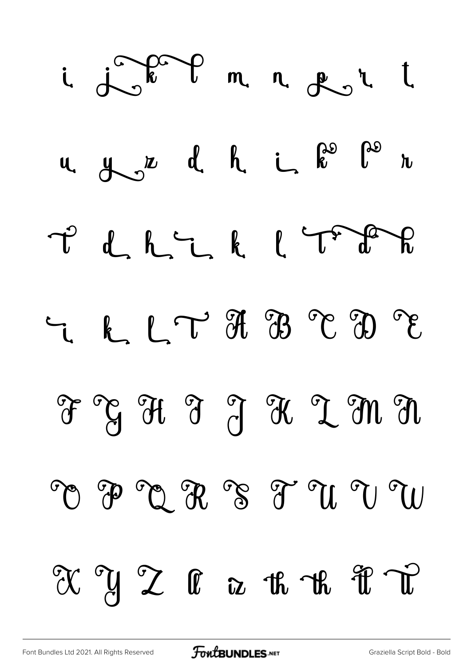